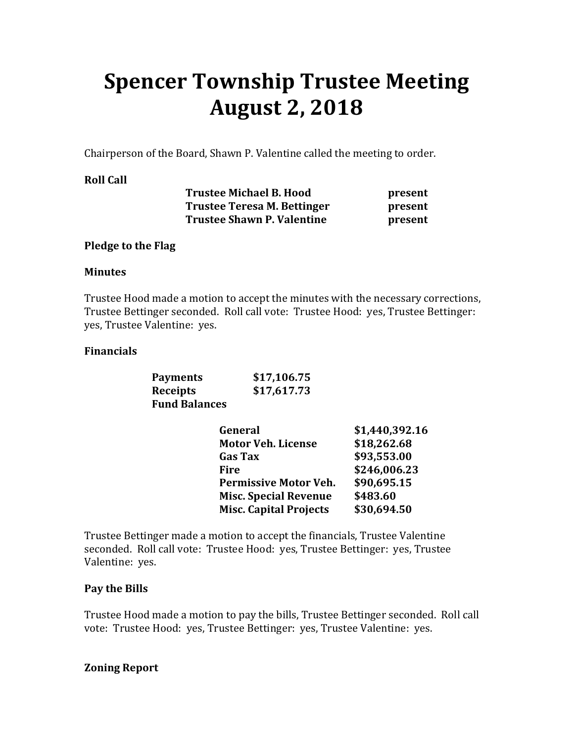# **Spencer Township Trustee Meeting August 2, 2018**

Chairperson of the Board, Shawn P. Valentine called the meeting to order.

## **Roll Call**

| <b>Trustee Michael B. Hood</b>    | present |
|-----------------------------------|---------|
| Trustee Teresa M. Bettinger       | present |
| <b>Trustee Shawn P. Valentine</b> | present |

#### **Pledge to the Flag**

#### **Minutes**

Trustee Hood made a motion to accept the minutes with the necessary corrections, Trustee Bettinger seconded. Roll call vote: Trustee Hood: yes, Trustee Bettinger: yes, Trustee Valentine: yes.

## **Financials**

| <b>Payments</b>      | \$17,106.75 |
|----------------------|-------------|
| Receipts             | \$17,617.73 |
| <b>Fund Balances</b> |             |

| General                       | \$1,440,392.16 |
|-------------------------------|----------------|
| <b>Motor Veh. License</b>     | \$18,262.68    |
| <b>Gas Tax</b>                | \$93,553.00    |
| <b>Fire</b>                   | \$246,006.23   |
| <b>Permissive Motor Veh.</b>  | \$90,695.15    |
| <b>Misc. Special Revenue</b>  | \$483.60       |
| <b>Misc. Capital Projects</b> | \$30,694.50    |

Trustee Bettinger made a motion to accept the financials, Trustee Valentine seconded. Roll call vote: Trustee Hood: yes, Trustee Bettinger: yes, Trustee Valentine: yes.

## **Pay the Bills**

Trustee Hood made a motion to pay the bills, Trustee Bettinger seconded. Roll call vote: Trustee Hood: yes, Trustee Bettinger: yes, Trustee Valentine: yes.

## **Zoning Report**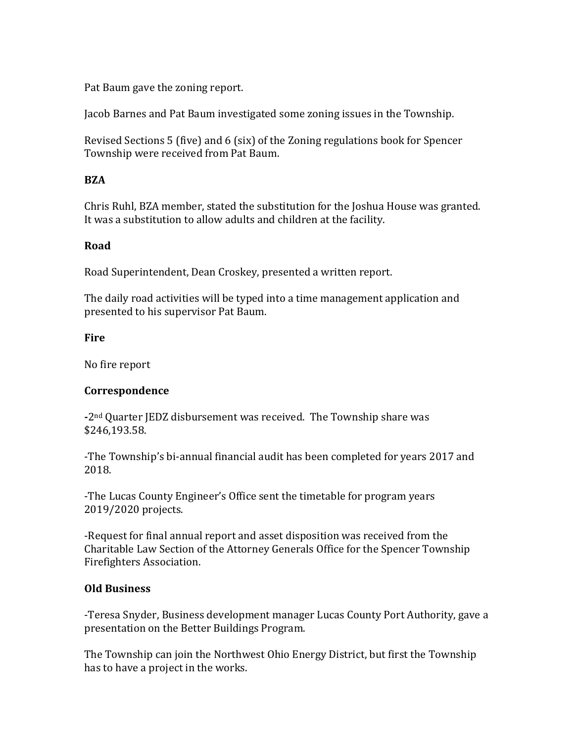Pat Baum gave the zoning report.

Jacob Barnes and Pat Baum investigated some zoning issues in the Township.

Revised Sections 5 (five) and 6 (six) of the Zoning regulations book for Spencer Township were received from Pat Baum.

## **BZA**

Chris Ruhl, BZA member, stated the substitution for the Joshua House was granted. It was a substitution to allow adults and children at the facility.

## **Road**

Road Superintendent, Dean Croskey, presented a written report.

The daily road activities will be typed into a time management application and presented to his supervisor Pat Baum.

## **Fire**

No fire report

## **Correspondence**

**-**2nd Quarter JEDZ disbursement was received. The Township share was \$246,193.58.

-The Township's bi-annual financial audit has been completed for years 2017 and 2018.

-The Lucas County Engineer's Office sent the timetable for program years 2019/2020 projects.

-Request for final annual report and asset disposition was received from the Charitable Law Section of the Attorney Generals Office for the Spencer Township Firefighters Association.

## **Old Business**

-Teresa Snyder, Business development manager Lucas County Port Authority, gave a presentation on the Better Buildings Program.

The Township can join the Northwest Ohio Energy District, but first the Township has to have a project in the works.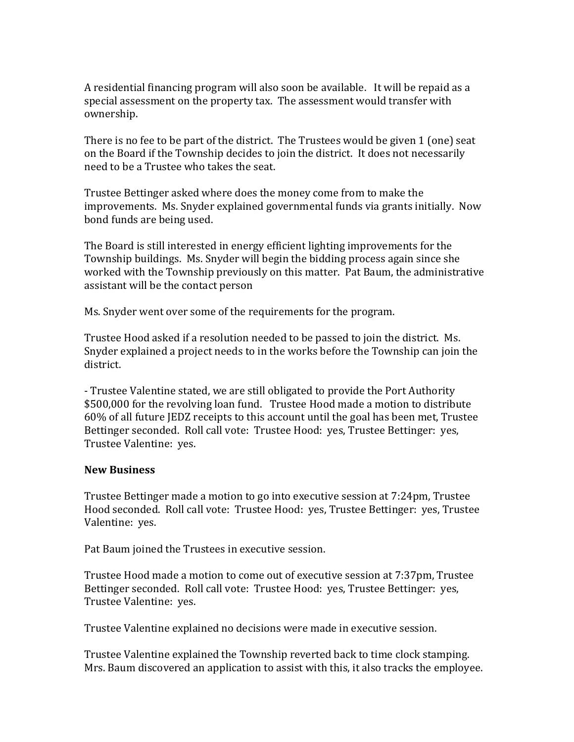A residential financing program will also soon be available. It will be repaid as a special assessment on the property tax. The assessment would transfer with ownership.

There is no fee to be part of the district. The Trustees would be given 1 (one) seat on the Board if the Township decides to join the district. It does not necessarily need to be a Trustee who takes the seat.

Trustee Bettinger asked where does the money come from to make the improvements. Ms. Snyder explained governmental funds via grants initially. Now bond funds are being used.

The Board is still interested in energy efficient lighting improvements for the Township buildings. Ms. Snyder will begin the bidding process again since she worked with the Township previously on this matter. Pat Baum, the administrative assistant will be the contact person

Ms. Snyder went over some of the requirements for the program.

Trustee Hood asked if a resolution needed to be passed to join the district. Ms. Snyder explained a project needs to in the works before the Township can join the district.

- Trustee Valentine stated, we are still obligated to provide the Port Authority \$500,000 for the revolving loan fund. Trustee Hood made a motion to distribute 60% of all future JEDZ receipts to this account until the goal has been met, Trustee Bettinger seconded. Roll call vote: Trustee Hood: yes, Trustee Bettinger: yes, Trustee Valentine: yes.

## **New Business**

Trustee Bettinger made a motion to go into executive session at 7:24pm, Trustee Hood seconded. Roll call vote: Trustee Hood: yes, Trustee Bettinger: yes, Trustee Valentine: yes.

Pat Baum joined the Trustees in executive session.

Trustee Hood made a motion to come out of executive session at 7:37pm, Trustee Bettinger seconded. Roll call vote: Trustee Hood: yes, Trustee Bettinger: yes, Trustee Valentine: yes.

Trustee Valentine explained no decisions were made in executive session.

Trustee Valentine explained the Township reverted back to time clock stamping. Mrs. Baum discovered an application to assist with this, it also tracks the employee.